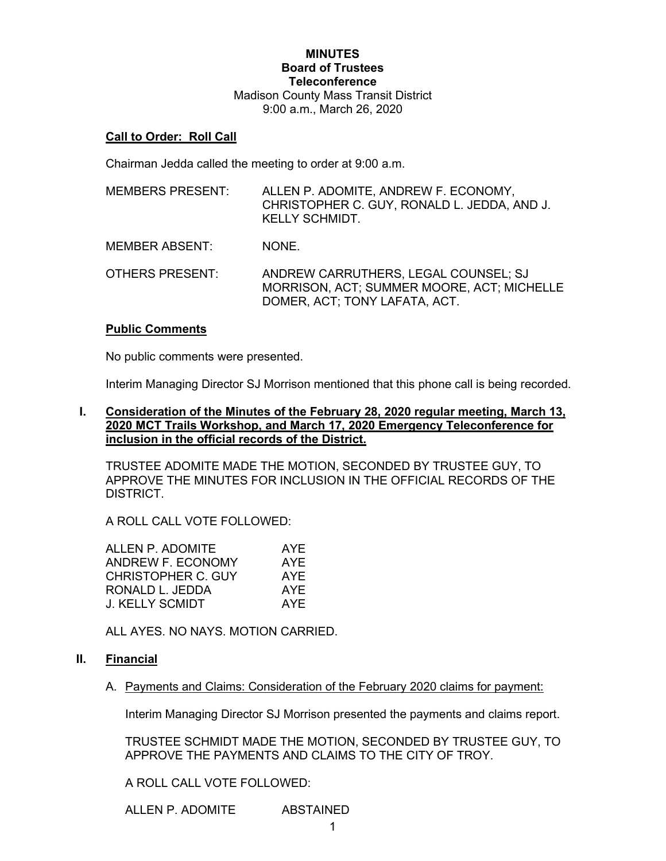## **MINUTES Board of Trustees Teleconference** Madison County Mass Transit District 9:00 a.m., March 26, 2020

#### **Call to Order: Roll Call**

Chairman Jedda called the meeting to order at 9:00 a.m.

| <b>MEMBERS PRESENT:</b> | ALLEN P. ADOMITE, ANDREW F. ECONOMY,<br>CHRISTOPHER C. GUY, RONALD L. JEDDA, AND J.<br><b>KELLY SCHMIDT.</b>        |
|-------------------------|---------------------------------------------------------------------------------------------------------------------|
| <b>MEMBER ABSENT:</b>   | NONE.                                                                                                               |
| <b>OTHERS PRESENT:</b>  | ANDREW CARRUTHERS, LEGAL COUNSEL; SJ<br>MORRISON, ACT; SUMMER MOORE, ACT; MICHELLE<br>DOMER, ACT; TONY LAFATA, ACT. |

#### **Public Comments**

No public comments were presented.

Interim Managing Director SJ Morrison mentioned that this phone call is being recorded.

### **I. Consideration of the Minutes of the February 28, 2020 regular meeting, March 13, 2020 MCT Trails Workshop, and March 17, 2020 Emergency Teleconference for inclusion in the official records of the District.**

TRUSTEE ADOMITE MADE THE MOTION, SECONDED BY TRUSTEE GUY, TO APPROVE THE MINUTES FOR INCLUSION IN THE OFFICIAL RECORDS OF THE DISTRICT.

A ROLL CALL VOTE FOLLOWED:

| ALLEN P. ADOMITE          | AYE        |
|---------------------------|------------|
| ANDREW F. ECONOMY         | <b>AYE</b> |
| <b>CHRISTOPHER C. GUY</b> | AYE        |
| RONALD L. JEDDA           | AYE        |
| <b>J. KELLY SCMIDT</b>    | AYE        |
|                           |            |

ALL AYES. NO NAYS. MOTION CARRIED.

### **II. Financial**

A. Payments and Claims: Consideration of the February 2020 claims for payment:

Interim Managing Director SJ Morrison presented the payments and claims report.

TRUSTEE SCHMIDT MADE THE MOTION, SECONDED BY TRUSTEE GUY, TO APPROVE THE PAYMENTS AND CLAIMS TO THE CITY OF TROY.

A ROLL CALL VOTE FOLLOWED:

ALLEN P. ADOMITE ABSTAINED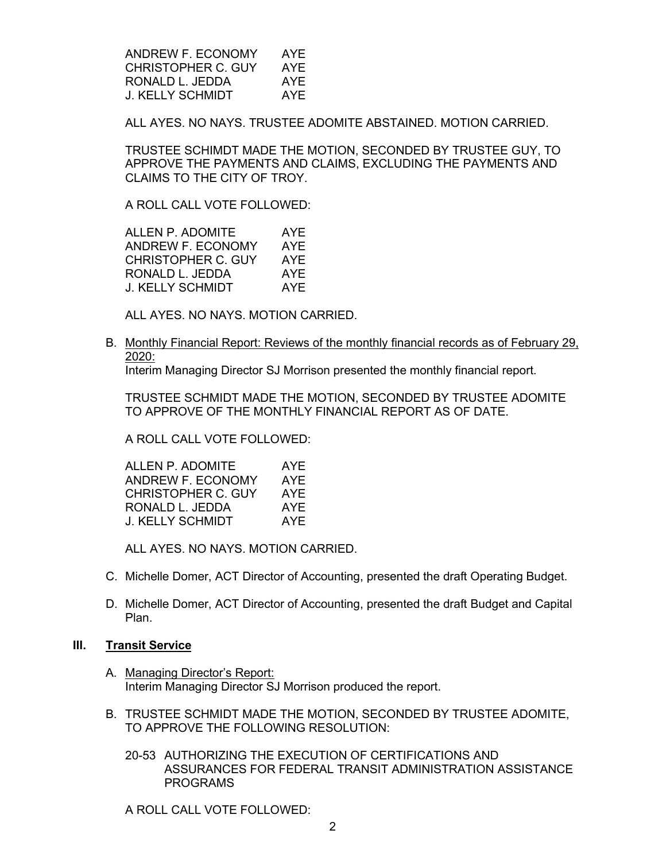ANDREW F. ECONOMY AYE CHRISTOPHER C. GUY AYE RONALD L. JEDDA AYE J. KELLY SCHMIDT AYE

ALL AYES. NO NAYS. TRUSTEE ADOMITE ABSTAINED. MOTION CARRIED.

TRUSTEE SCHIMDT MADE THE MOTION, SECONDED BY TRUSTEE GUY, TO APPROVE THE PAYMENTS AND CLAIMS, EXCLUDING THE PAYMENTS AND CLAIMS TO THE CITY OF TROY.

A ROLL CALL VOTE FOLLOWED:

ALLEN P. ADOMITE AYE<br>ANDREW F. ECONOMY AYE ANDREW F. ECONOMY CHRISTOPHER C. GUY AYE RONALD L. JEDDA AYE J. KELLY SCHMIDT AYE

ALL AYES. NO NAYS. MOTION CARRIED.

B. Monthly Financial Report: Reviews of the monthly financial records as of February 29, 2020:

Interim Managing Director SJ Morrison presented the monthly financial report.

TRUSTEE SCHMIDT MADE THE MOTION, SECONDED BY TRUSTEE ADOMITE TO APPROVE OF THE MONTHLY FINANCIAL REPORT AS OF DATE.

A ROLL CALL VOTE FOLLOWED:

| ALLEN P. ADOMITE          | AYF |
|---------------------------|-----|
| ANDREW F. ECONOMY         | AYE |
| <b>CHRISTOPHER C. GUY</b> | AYF |
| RONALD L. JEDDA           | AYE |
| J. KELLY SCHMIDT          | AYF |

ALL AYES. NO NAYS. MOTION CARRIED.

- C. Michelle Domer, ACT Director of Accounting, presented the draft Operating Budget.
- D. Michelle Domer, ACT Director of Accounting, presented the draft Budget and Capital Plan.

#### **III. Transit Service**

- A. Managing Director's Report: Interim Managing Director SJ Morrison produced the report.
- B. TRUSTEE SCHMIDT MADE THE MOTION, SECONDED BY TRUSTEE ADOMITE, TO APPROVE THE FOLLOWING RESOLUTION:
	- 20-53 AUTHORIZING THE EXECUTION OF CERTIFICATIONS AND ASSURANCES FOR FEDERAL TRANSIT ADMINISTRATION ASSISTANCE PROGRAMS

A ROLL CALL VOTE FOLLOWED: